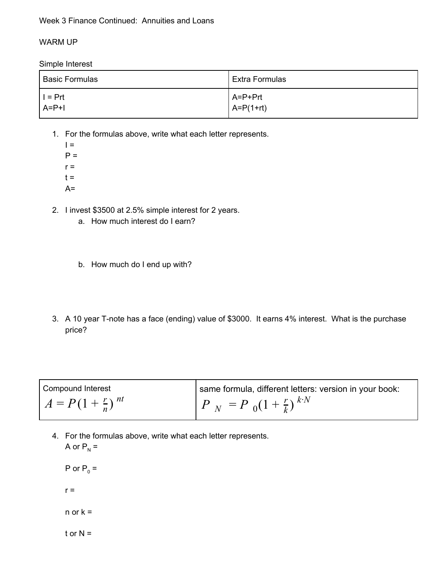#### Week 3 Finance Continued: Annuities and Loans

#### WARM UP

Simple Interest

| <b>Basic Formulas</b> | Extra Formulas  |
|-----------------------|-----------------|
| $I = Prt$             | A=P+Prt         |
| $A=PI$                | $A = P(1 + rt)$ |

- 1. For the formulas above, write what each letter represents.
	- $I =$  $P =$  $r =$  $t =$  $A=$
- 2. I invest \$3500 at 2.5% simple interest for 2 years.
	- a. How much interest do I earn?
	- b. How much do I end up with?
- 3. A 10 year T-note has a face (ending) value of \$3000. It earns 4% interest. What is the purchase price?

| Compound Interest             | same formula, different letters: version in your book: |
|-------------------------------|--------------------------------------------------------|
| $A = P(1 + \frac{r}{n})^{nt}$ | $P_N = P_0(1 + \frac{r}{k})^{kN}$                      |

4. For the formulas above, write what each letter represents. A or  $P_N =$ 

P or  $P_0 =$  $r =$  $n$  or  $k =$ 

t or  $N =$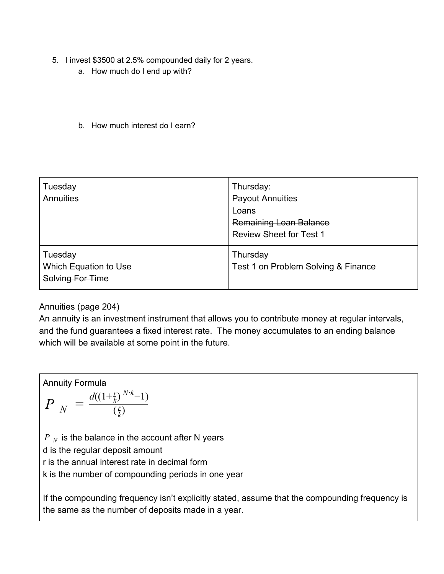- 5. I invest \$3500 at 2.5% compounded daily for 2 years.
	- a. How much do I end up with?
	- b. How much interest do I earn?

| Tuesday<br>Annuities                                 | Thursday:<br><b>Payout Annuities</b><br>Loans<br><b>Remaining Loan Balance</b><br><b>Review Sheet for Test 1</b> |
|------------------------------------------------------|------------------------------------------------------------------------------------------------------------------|
| Tuesday<br>Which Equation to Use<br>Solving For Time | Thursday<br>Test 1 on Problem Solving & Finance                                                                  |

### Annuities (page 204)

An annuity is an investment instrument that allows you to contribute money at regular intervals, and the fund guarantees a fixed interest rate. The money accumulates to an ending balance which will be available at some point in the future.

Annuity Formula

\n
$$
P_N = \frac{d((1+\frac{r}{k})^{N \cdot k} - 1)}{(\frac{r}{k})}
$$
\n
$$
P_N
$$
 is the balance in the account after N years  
\nd is the regular deposit amount  
\nr is the annual interest rate in decimal form  
\nk is the number of compounding periods in one year

If the compounding frequency isn't explicitly stated, assume that the compounding frequency is the same as the number of deposits made in a year.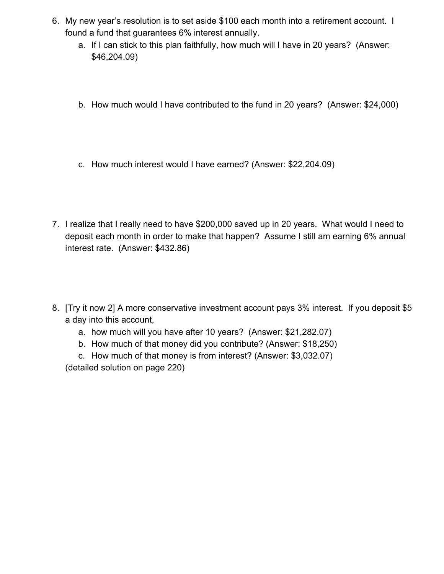- 6. My new year's resolution is to set aside \$100 each month into a retirement account. I found a fund that guarantees 6% interest annually.
	- a. If I can stick to this plan faithfully, how much will I have in 20 years? (Answer: \$46,204.09)
	- b. How much would I have contributed to the fund in 20 years? (Answer: \$24,000)
	- c. How much interest would I have earned? (Answer: \$22,204.09)
- 7. I realize that I really need to have \$200,000 saved up in 20 years. What would I need to deposit each month in order to make that happen? Assume I still am earning 6% annual interest rate. (Answer: \$432.86)
- 8. [Try it now 2] A more conservative investment account pays 3% interest. If you deposit \$5 a day into this account,
	- a. how much will you have after 10 years? (Answer: \$21,282.07)
	- b. How much of that money did you contribute? (Answer: \$18,250)
	- c. How much of that money is from interest? (Answer: \$3,032.07)

(detailed solution on page 220)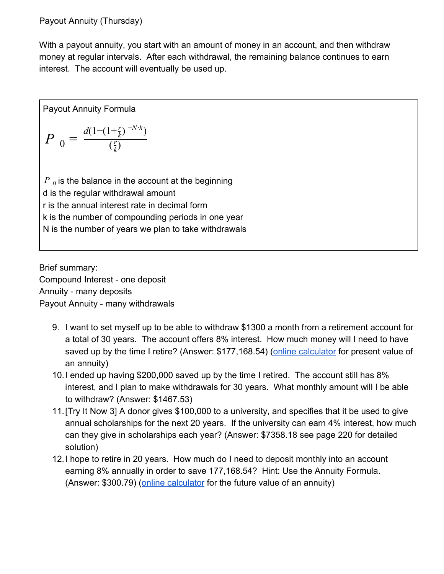## Payout Annuity (Thursday)

With a payout annuity, you start with an amount of money in an account, and then withdraw money at regular intervals. After each withdrawal, the remaining balance continues to earn interest. The account will eventually be used up.

Payout Annuity Formula

$$
P_0 = \frac{d(1-(1+\frac{r}{k})^{-N\cdot k})}{(\frac{r}{k})}
$$

 $P_{\rm 0}$  is the balance in the account at the beginning d is the regular withdrawal amount r is the annual interest rate in decimal form k is the number of compounding periods in one year N is the number of years we plan to take withdrawals

Brief summary: Compound Interest - one deposit Annuity - many deposits Payout Annuity - many withdrawals

- 9. I want to set myself up to be able to withdraw \$1300 a month from a retirement account for a total of 30 years. The account offers 8% interest. How much money will I need to have saved up by the time I retire? (Answer: \$177,168.54) [\(online calculator](https://www.investopedia.com/calculator/annuitypv.aspx) for present value of an annuity)
- 10.I ended up having \$200,000 saved up by the time I retired. The account still has 8% interest, and I plan to make withdrawals for 30 years. What monthly amount will I be able to withdraw? (Answer: \$1467.53)
- 11.[Try It Now 3] A donor gives \$100,000 to a university, and specifies that it be used to give annual scholarships for the next 20 years. If the university can earn 4% interest, how much can they give in scholarships each year? (Answer: \$7358.18 see page 220 for detailed solution)
- 12.I hope to retire in 20 years. How much do I need to deposit monthly into an account earning 8% annually in order to save 177,168.54? Hint: Use the Annuity Formula. (Answer: \$300.79) ([online calculator](https://www.investopedia.com/calculator/fvannuitydue.aspx) for the future value of an annuity)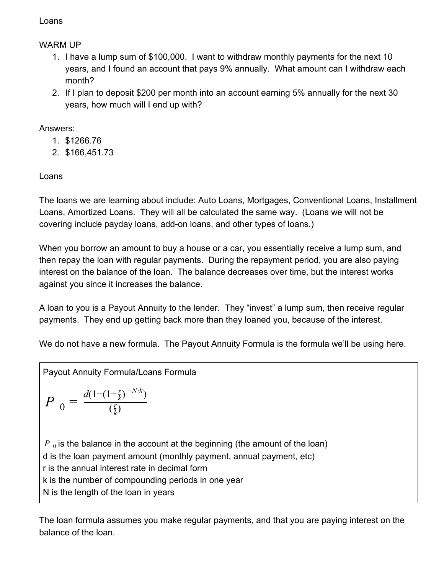### Loans

# WARM UP

- 1. I have a lump sum of \$100,000. I want to withdraw monthly payments for the next 10 years, and I found an account that pays 9% annually. What amount can I withdraw each month?
- 2. If I plan to deposit \$200 per month into an account earning 5% annually for the next 30 years, how much will I end up with?

## Answers:

- 1. \$1266.76
- 2. \$166,451.73

# Loans

The loans we are learning about include: Auto Loans, Mortgages, Conventional Loans, Installment Loans, Amortized Loans. They will all be calculated the same way. (Loans we will not be covering include payday loans, add-on loans, and other types of loans.)

When you borrow an amount to buy a house or a car, you essentially receive a lump sum, and then repay the loan with regular payments. During the repayment period, you are also paying interest on the balance of the loan. The balance decreases over time, but the interest works against you since it increases the balance.

A loan to you is a Payout Annuity to the lender. They "invest" a lump sum, then receive regular payments. They end up getting back more than they loaned you, because of the interest.

We do not have a new formula. The Payout Annuity Formula is the formula we'll be using here.

Payout Annuity Formula/Loans Formula

$$
P_0 = \frac{d(1 - (1 + \frac{r}{k})^{-N \cdot k})}{(\frac{r}{k})}
$$

 $P_0$  is the balance in the account at the beginning (the amount of the loan) d is the loan payment amount (monthly payment, annual payment, etc) r is the annual interest rate in decimal form k is the number of compounding periods in one year N is the length of the loan in years

The loan formula assumes you make regular payments, and that you are paying interest on the balance of the loan.